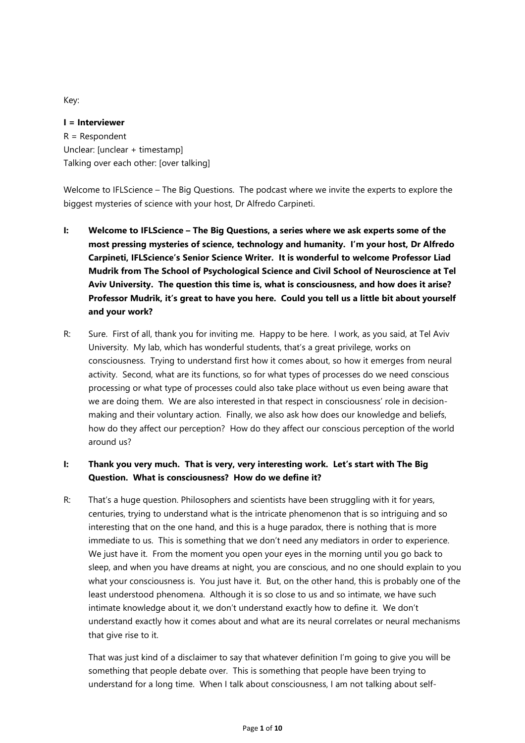Key:

**I = Interviewer** R = Respondent Unclear: [unclear + timestamp] Talking over each other: [over talking]

Welcome to IFLScience – The Big Questions. The podcast where we invite the experts to explore the biggest mysteries of science with your host, Dr Alfredo Carpineti.

- **I: Welcome to IFLScience – The Big Questions, a series where we ask experts some of the most pressing mysteries of science, technology and humanity. I'm your host, Dr Alfredo Carpineti, IFLScience's Senior Science Writer. It is wonderful to welcome Professor Liad Mudrik from The School of Psychological Science and Civil School of Neuroscience at Tel Aviv University. The question this time is, what is consciousness, and how does it arise? Professor Mudrik, it's great to have you here. Could you tell us a little bit about yourself and your work?**
- R: Sure. First of all, thank you for inviting me. Happy to be here. I work, as you said, at Tel Aviv University. My lab, which has wonderful students, that's a great privilege, works on consciousness. Trying to understand first how it comes about, so how it emerges from neural activity. Second, what are its functions, so for what types of processes do we need conscious processing or what type of processes could also take place without us even being aware that we are doing them. We are also interested in that respect in consciousness' role in decisionmaking and their voluntary action. Finally, we also ask how does our knowledge and beliefs, how do they affect our perception? How do they affect our conscious perception of the world around us?

# **I: Thank you very much. That is very, very interesting work. Let's start with The Big Question. What is consciousness? How do we define it?**

R: That's a huge question. Philosophers and scientists have been struggling with it for years, centuries, trying to understand what is the intricate phenomenon that is so intriguing and so interesting that on the one hand, and this is a huge paradox, there is nothing that is more immediate to us. This is something that we don't need any mediators in order to experience. We just have it. From the moment you open your eyes in the morning until you go back to sleep, and when you have dreams at night, you are conscious, and no one should explain to you what your consciousness is. You just have it. But, on the other hand, this is probably one of the least understood phenomena. Although it is so close to us and so intimate, we have such intimate knowledge about it, we don't understand exactly how to define it. We don't understand exactly how it comes about and what are its neural correlates or neural mechanisms that give rise to it.

That was just kind of a disclaimer to say that whatever definition I'm going to give you will be something that people debate over. This is something that people have been trying to understand for a long time. When I talk about consciousness, I am not talking about self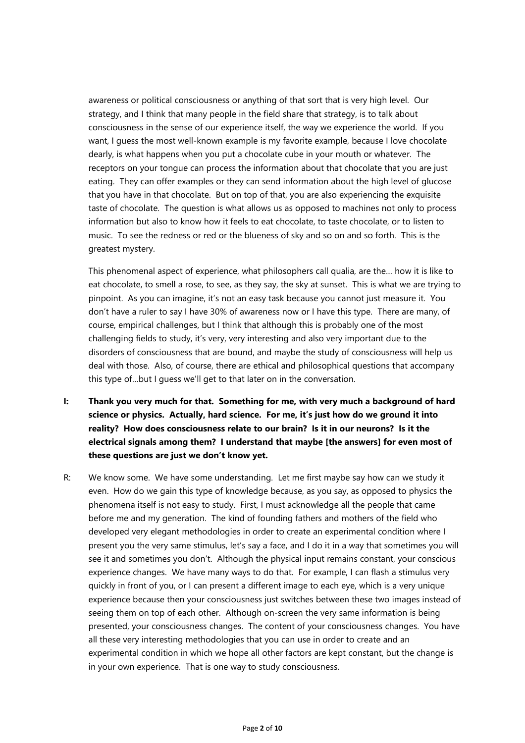awareness or political consciousness or anything of that sort that is very high level. Our strategy, and I think that many people in the field share that strategy, is to talk about consciousness in the sense of our experience itself, the way we experience the world. If you want, I guess the most well-known example is my favorite example, because I love chocolate dearly, is what happens when you put a chocolate cube in your mouth or whatever. The receptors on your tongue can process the information about that chocolate that you are just eating. They can offer examples or they can send information about the high level of glucose that you have in that chocolate. But on top of that, you are also experiencing the exquisite taste of chocolate. The question is what allows us as opposed to machines not only to process information but also to know how it feels to eat chocolate, to taste chocolate, or to listen to music. To see the redness or red or the blueness of sky and so on and so forth. This is the greatest mystery.

This phenomenal aspect of experience, what philosophers call qualia, are the… how it is like to eat chocolate, to smell a rose, to see, as they say, the sky at sunset. This is what we are trying to pinpoint. As you can imagine, it's not an easy task because you cannot just measure it. You don't have a ruler to say I have 30% of awareness now or I have this type. There are many, of course, empirical challenges, but I think that although this is probably one of the most challenging fields to study, it's very, very interesting and also very important due to the disorders of consciousness that are bound, and maybe the study of consciousness will help us deal with those. Also, of course, there are ethical and philosophical questions that accompany this type of…but I guess we'll get to that later on in the conversation.

- **I: Thank you very much for that. Something for me, with very much a background of hard science or physics. Actually, hard science. For me, it's just how do we ground it into reality? How does consciousness relate to our brain? Is it in our neurons? Is it the electrical signals among them? I understand that maybe [the answers] for even most of these questions are just we don't know yet.**
- R: We know some. We have some understanding. Let me first maybe say how can we study it even. How do we gain this type of knowledge because, as you say, as opposed to physics the phenomena itself is not easy to study. First, I must acknowledge all the people that came before me and my generation. The kind of founding fathers and mothers of the field who developed very elegant methodologies in order to create an experimental condition where I present you the very same stimulus, let's say a face, and I do it in a way that sometimes you will see it and sometimes you don't. Although the physical input remains constant, your conscious experience changes. We have many ways to do that. For example, I can flash a stimulus very quickly in front of you, or I can present a different image to each eye, which is a very unique experience because then your consciousness just switches between these two images instead of seeing them on top of each other. Although on-screen the very same information is being presented, your consciousness changes. The content of your consciousness changes. You have all these very interesting methodologies that you can use in order to create and an experimental condition in which we hope all other factors are kept constant, but the change is in your own experience. That is one way to study consciousness.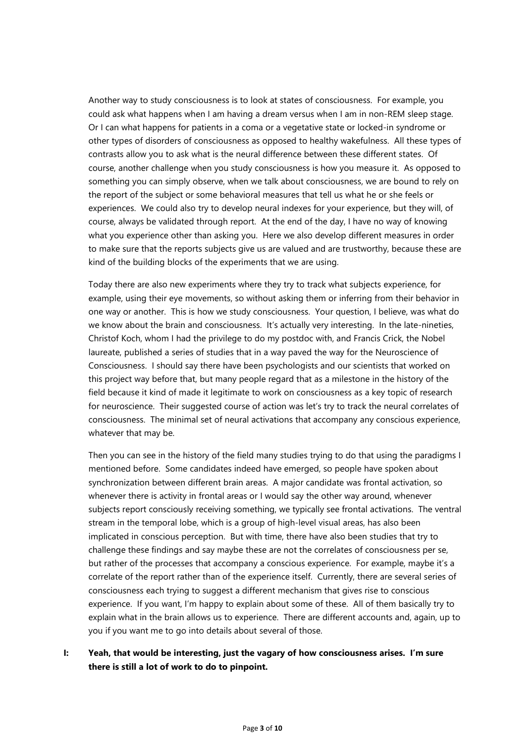Another way to study consciousness is to look at states of consciousness. For example, you could ask what happens when I am having a dream versus when I am in non-REM sleep stage. Or I can what happens for patients in a coma or a vegetative state or locked-in syndrome or other types of disorders of consciousness as opposed to healthy wakefulness. All these types of contrasts allow you to ask what is the neural difference between these different states. Of course, another challenge when you study consciousness is how you measure it. As opposed to something you can simply observe, when we talk about consciousness, we are bound to rely on the report of the subject or some behavioral measures that tell us what he or she feels or experiences. We could also try to develop neural indexes for your experience, but they will, of course, always be validated through report. At the end of the day, I have no way of knowing what you experience other than asking you. Here we also develop different measures in order to make sure that the reports subjects give us are valued and are trustworthy, because these are kind of the building blocks of the experiments that we are using.

Today there are also new experiments where they try to track what subjects experience, for example, using their eye movements, so without asking them or inferring from their behavior in one way or another. This is how we study consciousness. Your question, I believe, was what do we know about the brain and consciousness. It's actually very interesting. In the late-nineties, Christof Koch, whom I had the privilege to do my postdoc with, and Francis Crick, the Nobel laureate, published a series of studies that in a way paved the way for the Neuroscience of Consciousness. I should say there have been psychologists and our scientists that worked on this project way before that, but many people regard that as a milestone in the history of the field because it kind of made it legitimate to work on consciousness as a key topic of research for neuroscience. Their suggested course of action was let's try to track the neural correlates of consciousness. The minimal set of neural activations that accompany any conscious experience, whatever that may be.

Then you can see in the history of the field many studies trying to do that using the paradigms I mentioned before. Some candidates indeed have emerged, so people have spoken about synchronization between different brain areas. A major candidate was frontal activation, so whenever there is activity in frontal areas or I would say the other way around, whenever subjects report consciously receiving something, we typically see frontal activations. The ventral stream in the temporal lobe, which is a group of high-level visual areas, has also been implicated in conscious perception. But with time, there have also been studies that try to challenge these findings and say maybe these are not the correlates of consciousness per se, but rather of the processes that accompany a conscious experience. For example, maybe it's a correlate of the report rather than of the experience itself. Currently, there are several series of consciousness each trying to suggest a different mechanism that gives rise to conscious experience. If you want, I'm happy to explain about some of these. All of them basically try to explain what in the brain allows us to experience. There are different accounts and, again, up to you if you want me to go into details about several of those.

### **I: Yeah, that would be interesting, just the vagary of how consciousness arises. I'm sure there is still a lot of work to do to pinpoint.**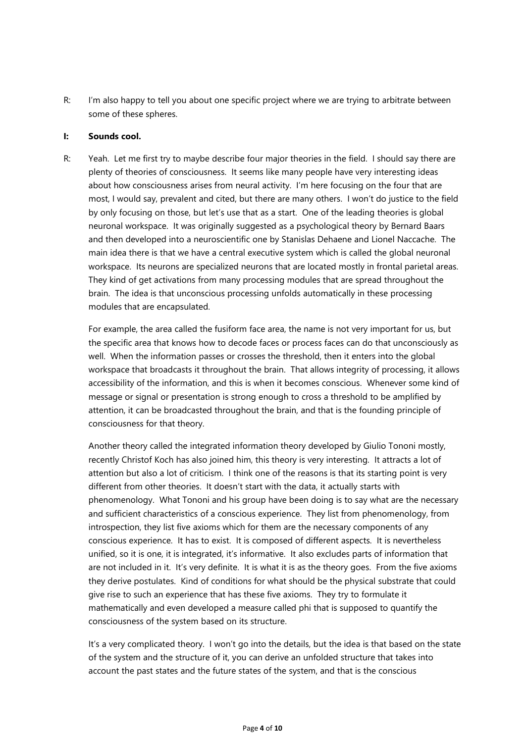R: I'm also happy to tell you about one specific project where we are trying to arbitrate between some of these spheres.

#### **I: Sounds cool.**

R: Yeah. Let me first try to maybe describe four major theories in the field. I should say there are plenty of theories of consciousness. It seems like many people have very interesting ideas about how consciousness arises from neural activity. I'm here focusing on the four that are most, I would say, prevalent and cited, but there are many others. I won't do justice to the field by only focusing on those, but let's use that as a start. One of the leading theories is global neuronal workspace. It was originally suggested as a psychological theory by Bernard Baars and then developed into a neuroscientific one by Stanislas Dehaene and Lionel Naccache. The main idea there is that we have a central executive system which is called the global neuronal workspace. Its neurons are specialized neurons that are located mostly in frontal parietal areas. They kind of get activations from many processing modules that are spread throughout the brain. The idea is that unconscious processing unfolds automatically in these processing modules that are encapsulated.

For example, the area called the fusiform face area, the name is not very important for us, but the specific area that knows how to decode faces or process faces can do that unconsciously as well. When the information passes or crosses the threshold, then it enters into the global workspace that broadcasts it throughout the brain. That allows integrity of processing, it allows accessibility of the information, and this is when it becomes conscious. Whenever some kind of message or signal or presentation is strong enough to cross a threshold to be amplified by attention, it can be broadcasted throughout the brain, and that is the founding principle of consciousness for that theory.

Another theory called the integrated information theory developed by Giulio Tononi mostly, recently Christof Koch has also joined him, this theory is very interesting. It attracts a lot of attention but also a lot of criticism. I think one of the reasons is that its starting point is very different from other theories. It doesn't start with the data, it actually starts with phenomenology. What Tononi and his group have been doing is to say what are the necessary and sufficient characteristics of a conscious experience. They list from phenomenology, from introspection, they list five axioms which for them are the necessary components of any conscious experience. It has to exist. It is composed of different aspects. It is nevertheless unified, so it is one, it is integrated, it's informative. It also excludes parts of information that are not included in it. It's very definite. It is what it is as the theory goes. From the five axioms they derive postulates. Kind of conditions for what should be the physical substrate that could give rise to such an experience that has these five axioms. They try to formulate it mathematically and even developed a measure called phi that is supposed to quantify the consciousness of the system based on its structure.

It's a very complicated theory. I won't go into the details, but the idea is that based on the state of the system and the structure of it, you can derive an unfolded structure that takes into account the past states and the future states of the system, and that is the conscious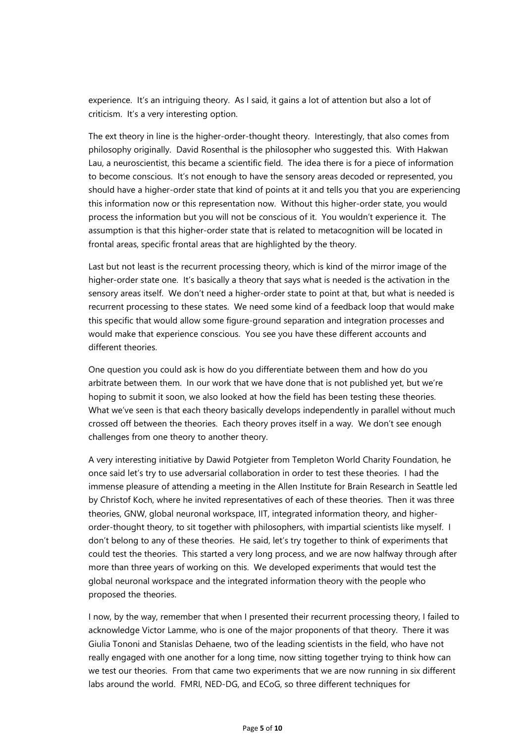experience. It's an intriguing theory. As I said, it gains a lot of attention but also a lot of criticism. It's a very interesting option.

The ext theory in line is the higher-order-thought theory. Interestingly, that also comes from philosophy originally. David Rosenthal is the philosopher who suggested this. With Hakwan Lau, a neuroscientist, this became a scientific field. The idea there is for a piece of information to become conscious. It's not enough to have the sensory areas decoded or represented, you should have a higher-order state that kind of points at it and tells you that you are experiencing this information now or this representation now. Without this higher-order state, you would process the information but you will not be conscious of it. You wouldn't experience it. The assumption is that this higher-order state that is related to metacognition will be located in frontal areas, specific frontal areas that are highlighted by the theory.

Last but not least is the recurrent processing theory, which is kind of the mirror image of the higher-order state one. It's basically a theory that says what is needed is the activation in the sensory areas itself. We don't need a higher-order state to point at that, but what is needed is recurrent processing to these states. We need some kind of a feedback loop that would make this specific that would allow some figure-ground separation and integration processes and would make that experience conscious. You see you have these different accounts and different theories.

One question you could ask is how do you differentiate between them and how do you arbitrate between them. In our work that we have done that is not published yet, but we're hoping to submit it soon, we also looked at how the field has been testing these theories. What we've seen is that each theory basically develops independently in parallel without much crossed off between the theories. Each theory proves itself in a way. We don't see enough challenges from one theory to another theory.

A very interesting initiative by Dawid Potgieter from Templeton World Charity Foundation, he once said let's try to use adversarial collaboration in order to test these theories. I had the immense pleasure of attending a meeting in the Allen Institute for Brain Research in Seattle led by Christof Koch, where he invited representatives of each of these theories. Then it was three theories, GNW, global neuronal workspace, IIT, integrated information theory, and higherorder-thought theory, to sit together with philosophers, with impartial scientists like myself. I don't belong to any of these theories. He said, let's try together to think of experiments that could test the theories. This started a very long process, and we are now halfway through after more than three years of working on this. We developed experiments that would test the global neuronal workspace and the integrated information theory with the people who proposed the theories.

I now, by the way, remember that when I presented their recurrent processing theory, I failed to acknowledge Victor Lamme, who is one of the major proponents of that theory. There it was Giulia Tononi and Stanislas Dehaene, two of the leading scientists in the field, who have not really engaged with one another for a long time, now sitting together trying to think how can we test our theories. From that came two experiments that we are now running in six different labs around the world. FMRI, NED-DG, and ECoG, so three different techniques for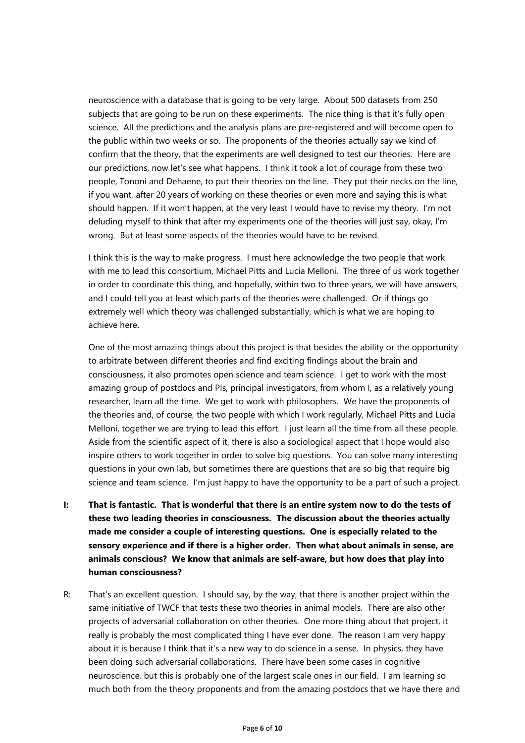neuroscience with a database that is going to be very large. About 500 datasets from 250 subjects that are going to be run on these experiments. The nice thing is that it's fully open science. All the predictions and the analysis plans are pre-registered and will become open to the public within two weeks or so. The proponents of the theories actually say we kind of confirm that the theory, that the experiments are well designed to test our theories. Here are our predictions, now let's see what happens. I think it took a lot of courage from these two people, Tononi and Dehaene, to put their theories on the line. They put their necks on the line, if you want, after 20 years of working on these theories or even more and saying this is what should happen. If it won't happen, at the very least I would have to revise my theory. I'm not deluding myself to think that after my experiments one of the theories will just say, okay, I'm wrong. But at least some aspects of the theories would have to be revised.

I think this is the way to make progress. I must here acknowledge the two people that work with me to lead this consortium, Michael Pitts and Lucia Melloni. The three of us work together in order to coordinate this thing, and hopefully, within two to three years, we will have answers, and I could tell you at least which parts of the theories were challenged. Or if things go extremely well which theory was challenged substantially, which is what we are hoping to achieve here.

One of the most amazing things about this project is that besides the ability or the opportunity to arbitrate between different theories and find exciting findings about the brain and consciousness, it also promotes open science and team science. I get to work with the most amazing group of postdocs and PIs, principal investigators, from whom I, as a relatively young researcher, learn all the time. We get to work with philosophers. We have the proponents of the theories and, of course, the two people with which I work regularly, Michael Pitts and Lucia Melloni, together we are trying to lead this effort. I just learn all the time from all these people. Aside from the scientific aspect of it, there is also a sociological aspect that I hope would also inspire others to work together in order to solve big questions. You can solve many interesting questions in your own lab, but sometimes there are questions that are so big that require big science and team science. I'm just happy to have the opportunity to be a part of such a project.

- **I: That is fantastic. That is wonderful that there is an entire system now to do the tests of these two leading theories in consciousness. The discussion about the theories actually made me consider a couple of interesting questions. One is especially related to the sensory experience and if there is a higher order. Then what about animals in sense, are animals conscious? We know that animals are self-aware, but how does that play into human consciousness?**
- R: That's an excellent question. I should say, by the way, that there is another project within the same initiative of TWCF that tests these two theories in animal models. There are also other projects of adversarial collaboration on other theories. One more thing about that project, it really is probably the most complicated thing I have ever done. The reason I am very happy about it is because I think that it's a new way to do science in a sense. In physics, they have been doing such adversarial collaborations. There have been some cases in cognitive neuroscience, but this is probably one of the largest scale ones in our field. I am learning so much both from the theory proponents and from the amazing postdocs that we have there and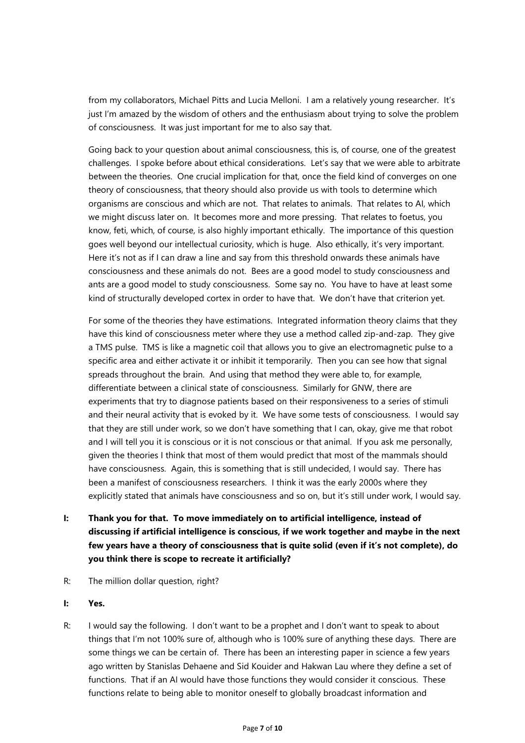from my collaborators, Michael Pitts and Lucia Melloni. I am a relatively young researcher. It's just I'm amazed by the wisdom of others and the enthusiasm about trying to solve the problem of consciousness. It was just important for me to also say that.

Going back to your question about animal consciousness, this is, of course, one of the greatest challenges. I spoke before about ethical considerations. Let's say that we were able to arbitrate between the theories. One crucial implication for that, once the field kind of converges on one theory of consciousness, that theory should also provide us with tools to determine which organisms are conscious and which are not. That relates to animals. That relates to AI, which we might discuss later on. It becomes more and more pressing. That relates to foetus, you know, feti, which, of course, is also highly important ethically. The importance of this question goes well beyond our intellectual curiosity, which is huge. Also ethically, it's very important. Here it's not as if I can draw a line and say from this threshold onwards these animals have consciousness and these animals do not. Bees are a good model to study consciousness and ants are a good model to study consciousness. Some say no. You have to have at least some kind of structurally developed cortex in order to have that. We don't have that criterion yet.

For some of the theories they have estimations. Integrated information theory claims that they have this kind of consciousness meter where they use a method called zip-and-zap. They give a TMS pulse. TMS is like a magnetic coil that allows you to give an electromagnetic pulse to a specific area and either activate it or inhibit it temporarily. Then you can see how that signal spreads throughout the brain. And using that method they were able to, for example, differentiate between a clinical state of consciousness. Similarly for GNW, there are experiments that try to diagnose patients based on their responsiveness to a series of stimuli and their neural activity that is evoked by it. We have some tests of consciousness. I would say that they are still under work, so we don't have something that I can, okay, give me that robot and I will tell you it is conscious or it is not conscious or that animal. If you ask me personally, given the theories I think that most of them would predict that most of the mammals should have consciousness. Again, this is something that is still undecided, I would say. There has been a manifest of consciousness researchers. I think it was the early 2000s where they explicitly stated that animals have consciousness and so on, but it's still under work, I would say.

- **I: Thank you for that. To move immediately on to artificial intelligence, instead of discussing if artificial intelligence is conscious, if we work together and maybe in the next few years have a theory of consciousness that is quite solid (even if it's not complete), do you think there is scope to recreate it artificially?**
- R: The million dollar question, right?
- **I: Yes.**
- R: I would say the following. I don't want to be a prophet and I don't want to speak to about things that I'm not 100% sure of, although who is 100% sure of anything these days. There are some things we can be certain of. There has been an interesting paper in science a few years ago written by Stanislas Dehaene and Sid Kouider and Hakwan Lau where they define a set of functions. That if an AI would have those functions they would consider it conscious. These functions relate to being able to monitor oneself to globally broadcast information and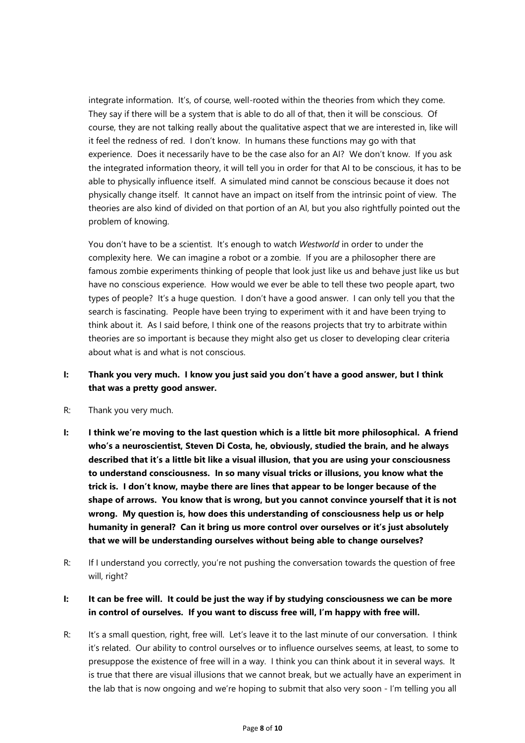integrate information. It's, of course, well-rooted within the theories from which they come. They say if there will be a system that is able to do all of that, then it will be conscious. Of course, they are not talking really about the qualitative aspect that we are interested in, like will it feel the redness of red. I don't know. In humans these functions may go with that experience. Does it necessarily have to be the case also for an AI? We don't know. If you ask the integrated information theory, it will tell you in order for that AI to be conscious, it has to be able to physically influence itself. A simulated mind cannot be conscious because it does not physically change itself. It cannot have an impact on itself from the intrinsic point of view. The theories are also kind of divided on that portion of an AI, but you also rightfully pointed out the problem of knowing.

You don't have to be a scientist. It's enough to watch *Westworld* in order to under the complexity here. We can imagine a robot or a zombie. If you are a philosopher there are famous zombie experiments thinking of people that look just like us and behave just like us but have no conscious experience. How would we ever be able to tell these two people apart, two types of people? It's a huge question. I don't have a good answer. I can only tell you that the search is fascinating. People have been trying to experiment with it and have been trying to think about it. As I said before, I think one of the reasons projects that try to arbitrate within theories are so important is because they might also get us closer to developing clear criteria about what is and what is not conscious.

## **I: Thank you very much. I know you just said you don't have a good answer, but I think that was a pretty good answer.**

#### R: Thank you very much.

- **I: I think we're moving to the last question which is a little bit more philosophical. A friend who's a neuroscientist, Steven Di Costa, he, obviously, studied the brain, and he always described that it's a little bit like a visual illusion, that you are using your consciousness to understand consciousness. In so many visual tricks or illusions, you know what the trick is. I don't know, maybe there are lines that appear to be longer because of the shape of arrows. You know that is wrong, but you cannot convince yourself that it is not wrong. My question is, how does this understanding of consciousness help us or help humanity in general? Can it bring us more control over ourselves or it's just absolutely that we will be understanding ourselves without being able to change ourselves?**
- R: If I understand you correctly, you're not pushing the conversation towards the question of free will, right?

### I: It can be free will. It could be just the way if by studying consciousness we can be more **in control of ourselves. If you want to discuss free will, I'm happy with free will.**

R: It's a small question, right, free will. Let's leave it to the last minute of our conversation. I think it's related. Our ability to control ourselves or to influence ourselves seems, at least, to some to presuppose the existence of free will in a way. I think you can think about it in several ways. It is true that there are visual illusions that we cannot break, but we actually have an experiment in the lab that is now ongoing and we're hoping to submit that also very soon - I'm telling you all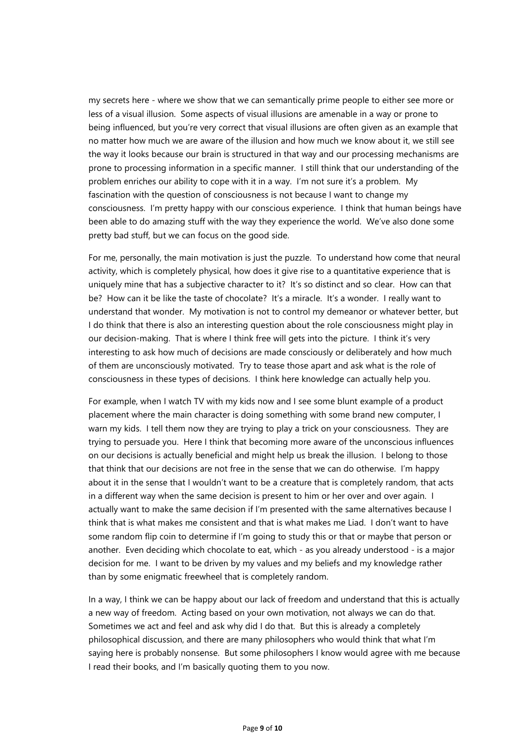my secrets here - where we show that we can semantically prime people to either see more or less of a visual illusion. Some aspects of visual illusions are amenable in a way or prone to being influenced, but you're very correct that visual illusions are often given as an example that no matter how much we are aware of the illusion and how much we know about it, we still see the way it looks because our brain is structured in that way and our processing mechanisms are prone to processing information in a specific manner. I still think that our understanding of the problem enriches our ability to cope with it in a way. I'm not sure it's a problem. My fascination with the question of consciousness is not because I want to change my consciousness. I'm pretty happy with our conscious experience. I think that human beings have been able to do amazing stuff with the way they experience the world. We've also done some pretty bad stuff, but we can focus on the good side.

For me, personally, the main motivation is just the puzzle. To understand how come that neural activity, which is completely physical, how does it give rise to a quantitative experience that is uniquely mine that has a subjective character to it? It's so distinct and so clear. How can that be? How can it be like the taste of chocolate? It's a miracle. It's a wonder. I really want to understand that wonder. My motivation is not to control my demeanor or whatever better, but I do think that there is also an interesting question about the role consciousness might play in our decision-making. That is where I think free will gets into the picture. I think it's very interesting to ask how much of decisions are made consciously or deliberately and how much of them are unconsciously motivated. Try to tease those apart and ask what is the role of consciousness in these types of decisions. I think here knowledge can actually help you.

For example, when I watch TV with my kids now and I see some blunt example of a product placement where the main character is doing something with some brand new computer, I warn my kids. I tell them now they are trying to play a trick on your consciousness. They are trying to persuade you. Here I think that becoming more aware of the unconscious influences on our decisions is actually beneficial and might help us break the illusion. I belong to those that think that our decisions are not free in the sense that we can do otherwise. I'm happy about it in the sense that I wouldn't want to be a creature that is completely random, that acts in a different way when the same decision is present to him or her over and over again. I actually want to make the same decision if I'm presented with the same alternatives because I think that is what makes me consistent and that is what makes me Liad. I don't want to have some random flip coin to determine if I'm going to study this or that or maybe that person or another. Even deciding which chocolate to eat, which - as you already understood - is a major decision for me. I want to be driven by my values and my beliefs and my knowledge rather than by some enigmatic freewheel that is completely random.

In a way, I think we can be happy about our lack of freedom and understand that this is actually a new way of freedom. Acting based on your own motivation, not always we can do that. Sometimes we act and feel and ask why did I do that. But this is already a completely philosophical discussion, and there are many philosophers who would think that what I'm saying here is probably nonsense. But some philosophers I know would agree with me because I read their books, and I'm basically quoting them to you now.